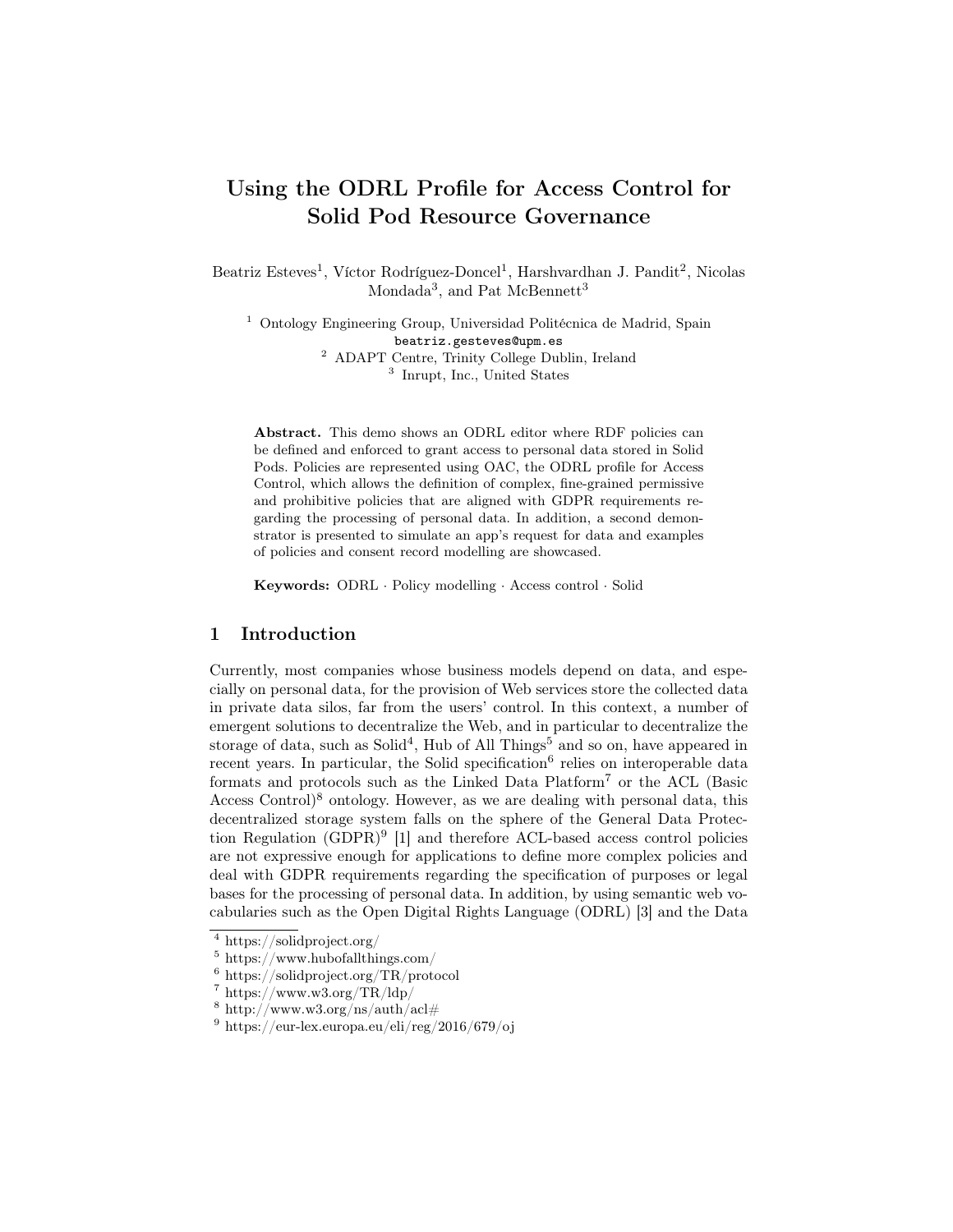# Using the ODRL Profile for Access Control for Solid Pod Resource Governance

Beatriz Esteves<sup>1</sup>, Víctor Rodríguez-Doncel<sup>1</sup>, Harshvardhan J. Pandit<sup>2</sup>, Nicolas Mondada<sup>3</sup>, and Pat McBennett<sup>3</sup>

<sup>1</sup> Ontology Engineering Group, Universidad Politécnica de Madrid, Spain beatriz.gesteves@upm.es  $\frac{2}{3}$  ADAPT Centre, Trinity College Dublin, Ireland  $\frac{3}{3}$  Inrupt, Inc., United States

Abstract. This demo shows an ODRL editor where RDF policies can be defined and enforced to grant access to personal data stored in Solid Pods. Policies are represented using OAC, the ODRL profile for Access Control, which allows the definition of complex, fine-grained permissive and prohibitive policies that are aligned with GDPR requirements regarding the processing of personal data. In addition, a second demonstrator is presented to simulate an app's request for data and examples of policies and consent record modelling are showcased.

Keywords: ODRL · Policy modelling · Access control · Solid

## 1 Introduction

Currently, most companies whose business models depend on data, and especially on personal data, for the provision of Web services store the collected data in private data silos, far from the users' control. In this context, a number of emergent solutions to decentralize the Web, and in particular to decentralize the storage of data, such as  $\text{Solid}^4$ , Hub of All Things<sup>5</sup> and so on, have appeared in recent years. In particular, the Solid specification<sup>6</sup> relies on interoperable data formats and protocols such as the Linked Data Platform<sup>7</sup> or the ACL (Basic Access Control)<sup>8</sup> ontology. However, as we are dealing with personal data, this decentralized storage system falls on the sphere of the General Data Protection Regulation  $(GDPR)^9$  [1] and therefore ACL-based access control policies are not expressive enough for applications to define more complex policies and deal with GDPR requirements regarding the specification of purposes or legal bases for the processing of personal data. In addition, by using semantic web vocabularies such as the Open Digital Rights Language (ODRL) [3] and the Data

<sup>4</sup> https://solidproject.org/

 $5 \text{ https://www.hubofallthings.com/}$ 

<sup>6</sup> https://solidproject.org/TR/protocol

<sup>7</sup> https://www.w3.org/TR/ldp/

 $8 \text{ http://www.w3.org/ns/auth/acl#}$ 

<sup>9</sup> https://eur-lex.europa.eu/eli/reg/2016/679/oj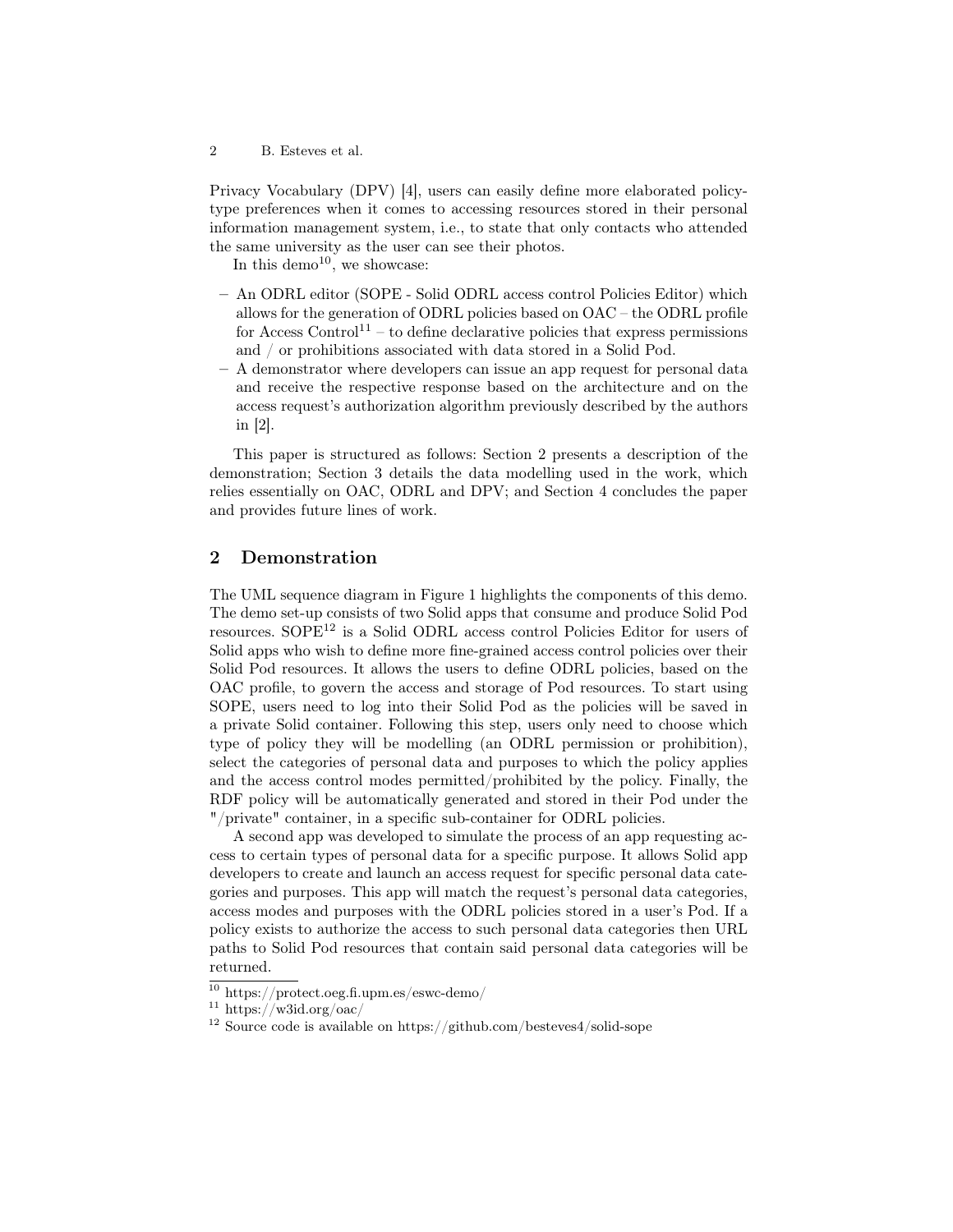2 B. Esteves et al.

Privacy Vocabulary (DPV) [4], users can easily define more elaborated policytype preferences when it comes to accessing resources stored in their personal information management system, i.e., to state that only contacts who attended the same university as the user can see their photos.

In this demo<sup>10</sup>, we showcase:

- An ODRL editor (SOPE Solid ODRL access control Policies Editor) which allows for the generation of ODRL policies based on OAC – the ODRL profile for Access Control<sup>11</sup> – to define declarative policies that express permissions and / or prohibitions associated with data stored in a Solid Pod.
- A demonstrator where developers can issue an app request for personal data and receive the respective response based on the architecture and on the access request's authorization algorithm previously described by the authors in [2].

This paper is structured as follows: Section 2 presents a description of the demonstration; Section 3 details the data modelling used in the work, which relies essentially on OAC, ODRL and DPV; and Section 4 concludes the paper and provides future lines of work.

### 2 Demonstration

The UML sequence diagram in Figure 1 highlights the components of this demo. The demo set-up consists of two Solid apps that consume and produce Solid Pod resources. SOPE<sup>12</sup> is a Solid ODRL access control Policies Editor for users of Solid apps who wish to define more fine-grained access control policies over their Solid Pod resources. It allows the users to define ODRL policies, based on the OAC profile, to govern the access and storage of Pod resources. To start using SOPE, users need to log into their Solid Pod as the policies will be saved in a private Solid container. Following this step, users only need to choose which type of policy they will be modelling (an ODRL permission or prohibition), select the categories of personal data and purposes to which the policy applies and the access control modes permitted/prohibited by the policy. Finally, the RDF policy will be automatically generated and stored in their Pod under the "/private" container, in a specific sub-container for ODRL policies.

A second app was developed to simulate the process of an app requesting access to certain types of personal data for a specific purpose. It allows Solid app developers to create and launch an access request for specific personal data categories and purposes. This app will match the request's personal data categories, access modes and purposes with the ODRL policies stored in a user's Pod. If a policy exists to authorize the access to such personal data categories then URL paths to Solid Pod resources that contain said personal data categories will be returned.

<sup>10</sup> https://protect.oeg.fi.upm.es/eswc-demo/

 $11 \text{ https://w3id.org/oac/}$ 

<sup>12</sup> Source code is available on https://github.com/besteves4/solid-sope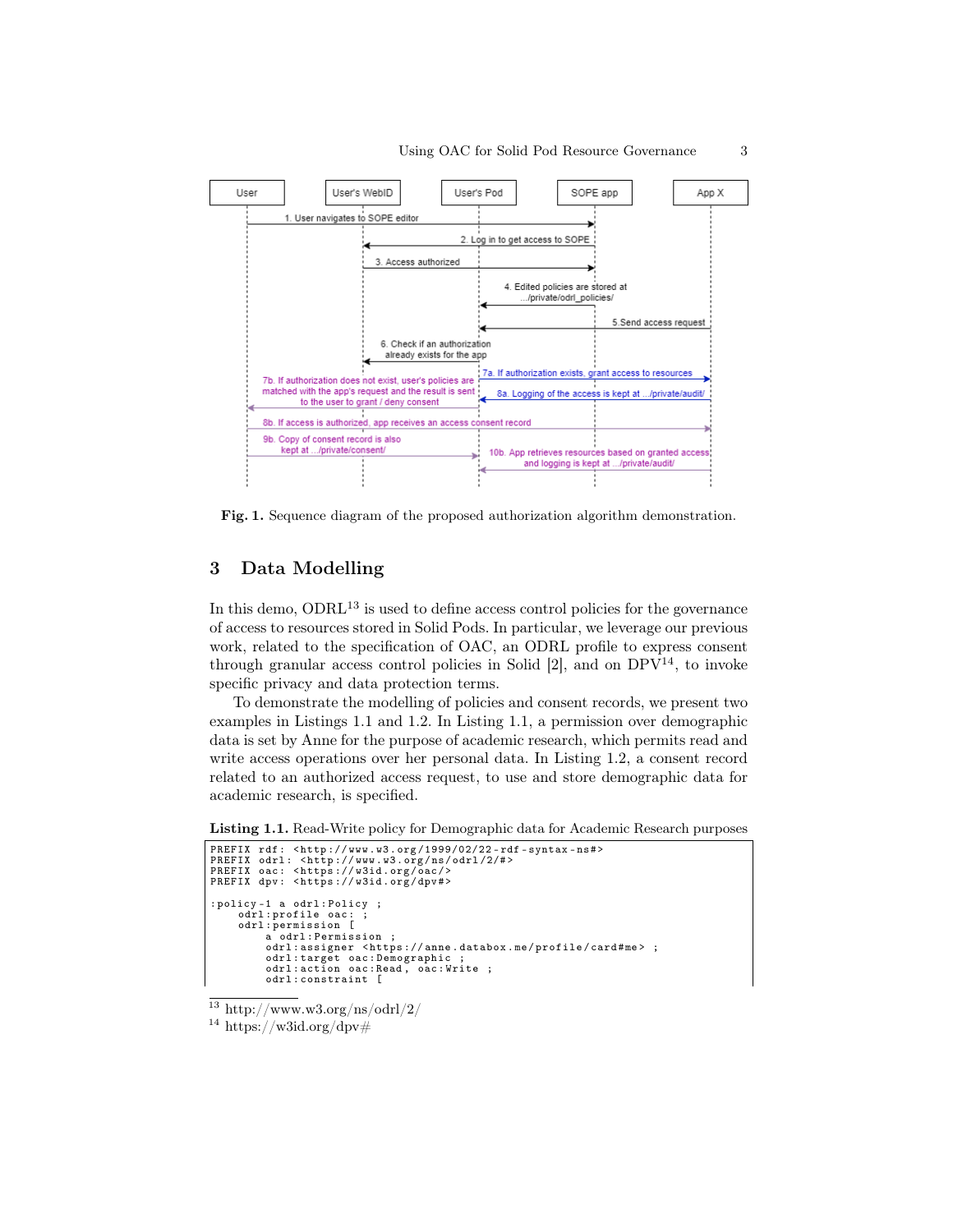

Fig. 1. Sequence diagram of the proposed authorization algorithm demonstration.

## 3 Data Modelling

In this demo,  $ODRL^{13}$  is used to define access control policies for the governance of access to resources stored in Solid Pods. In particular, we leverage our previous work, related to the specification of OAC, an ODRL profile to express consent through granular access control policies in Solid  $[2]$ , and on DPV<sup>14</sup>, to invoke specific privacy and data protection terms.

To demonstrate the modelling of policies and consent records, we present two examples in Listings 1.1 and 1.2. In Listing 1.1, a permission over demographic data is set by Anne for the purpose of academic research, which permits read and write access operations over her personal data. In Listing 1.2, a consent record related to an authorized access request, to use and store demographic data for academic research, is specified.

Listing 1.1. Read-Write policy for Demographic data for Academic Research purposes

```
PREFIX rdf : < http :// www . w3 . org /1999/02/22 - rdf - syntax - ns #>
PREFIX odrl: <http://www.w3.org/ns/odrl/2/#>
PREFIX oac: <https://w3id.org/oac/><br>PREFIX dpv: <https://w3id.org/dpv#>
: policy -1 a odrl : Policy ;
     odrl : profile oac : ;
odrl : permission [
          a odrl : Permission ;
          odrl:assigner <https://anne.databox.me/profile/card#me> ;
          odrl : target oac : Demographic ;
          odrl : action oac : Read , oac : Write ;
          odrl : constraint [
```
 $^{13}$ http://www.w3.org/ns/odrl/2/

 $^{14}$ https://w3id.org/dpv#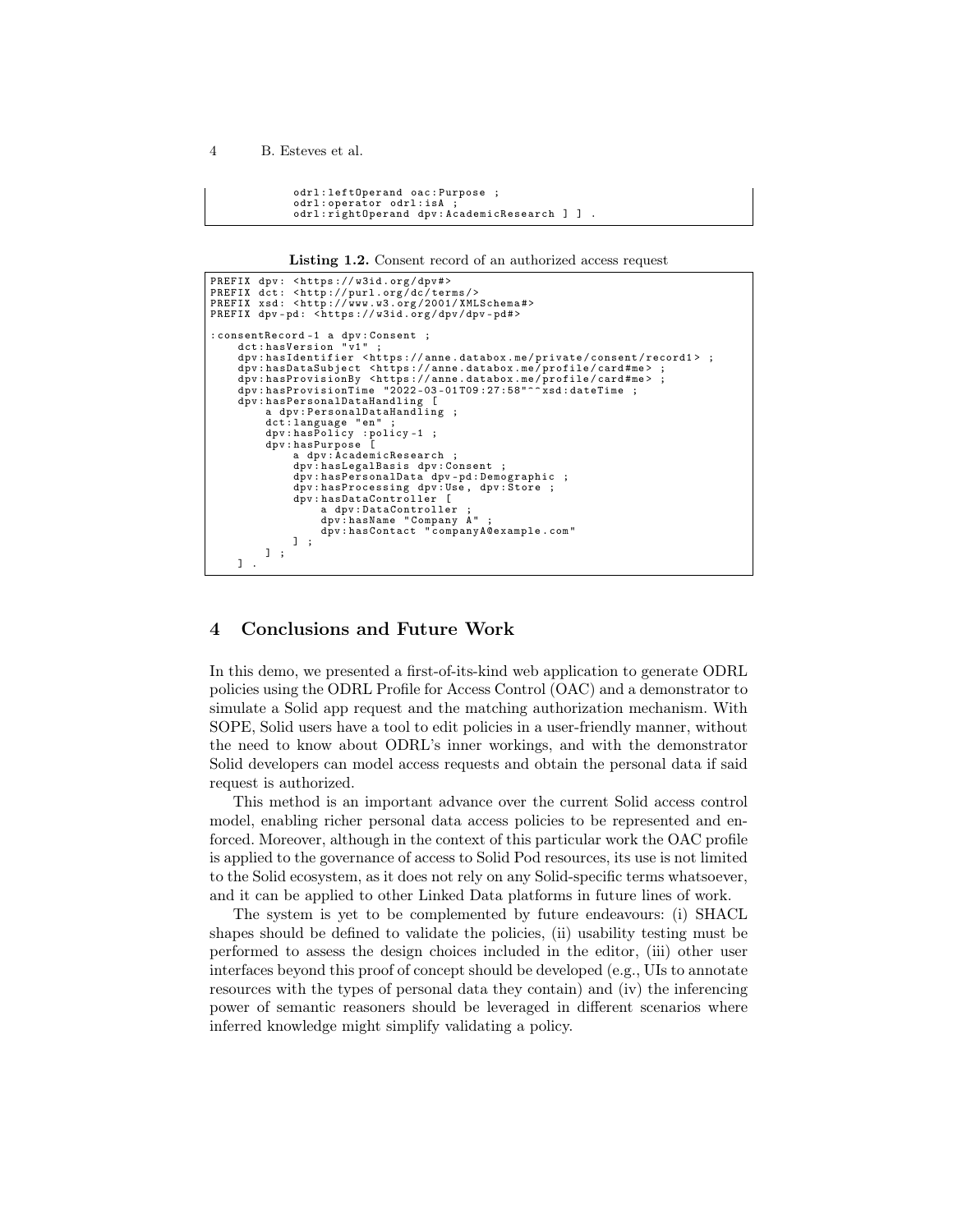4 B. Esteves et al.

```
odrl : leftOperand oac : Purpose ;
odrl : operator odrl : isA ;
odrl : rightOperand dpv : AcademicResearch ] ] .
```
Listing 1.2. Consent record of an authorized access request

```
PREFIX dpv: <https://w3id.org/dpv#>
PREFIX dct: <http://purl.org/dc/terms/><br>PREFIX xsd: <http://www.w3.org/2001/XMLSchema#><br>PREFIX dpv-pd: <https://w3id.org/dpv/dpv-pd#>
: consentRecord-1 a dpv: Consent ;<br>dct: hasVersion "v1" ;
         dpv : hasIdentifier < https :// anne . databox . me / private / consent / record1 > ;
         dpv:hasDataSubject <https://anne.databox.me/profile/card#me> ;<br>dpv:hasProvisionBy <https://anne.databox.me/profile/card#me> ;<br>dpv:hasProvisionTime "2022-03-01T09:27:58"^~xsd:dateTime ;
         dpv:hasPersonalDataHandling [<br>a dpv:PersonalDataHandling ;<br>dct:language "en" ;<br>dpv:hasPolicy :policy-1 ;
                 dpv:hasPurpose [<br>a dpv:AcademicResearch
                          a dpv : AcademicResearch ;
dpv : hasLegalBasis dpv : Consent ;
                           dpv : hasPersonalData dpv - pd : Demographic ;
dpv : hasProcessing dpv : Use , dpv : Store ;
dpv : hasDataController [
                                  a dpv : DataController ;
                                   dpv : hasName " Company A" ;
dpv : hasContact " companyA@example . com "
                         ] ;
                ] ;
        ] .
```
## 4 Conclusions and Future Work

In this demo, we presented a first-of-its-kind web application to generate ODRL policies using the ODRL Profile for Access Control (OAC) and a demonstrator to simulate a Solid app request and the matching authorization mechanism. With SOPE, Solid users have a tool to edit policies in a user-friendly manner, without the need to know about ODRL's inner workings, and with the demonstrator Solid developers can model access requests and obtain the personal data if said request is authorized.

This method is an important advance over the current Solid access control model, enabling richer personal data access policies to be represented and enforced. Moreover, although in the context of this particular work the OAC profile is applied to the governance of access to Solid Pod resources, its use is not limited to the Solid ecosystem, as it does not rely on any Solid-specific terms whatsoever, and it can be applied to other Linked Data platforms in future lines of work.

The system is yet to be complemented by future endeavours: (i) SHACL shapes should be defined to validate the policies, (ii) usability testing must be performed to assess the design choices included in the editor, (iii) other user interfaces beyond this proof of concept should be developed (e.g., UIs to annotate resources with the types of personal data they contain) and (iv) the inferencing power of semantic reasoners should be leveraged in different scenarios where inferred knowledge might simplify validating a policy.